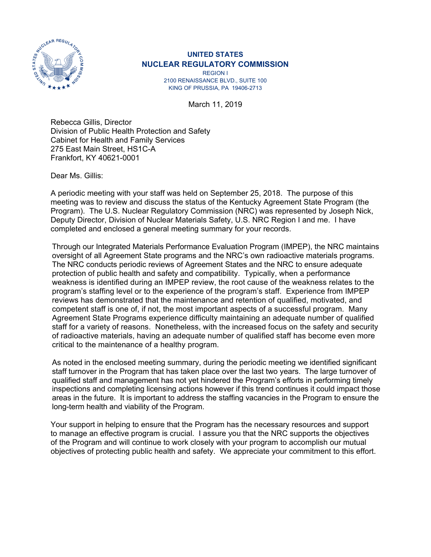

## **UNITED STATES NUCLEAR REGULATORY COMMISSION**

REGION I 2100 RENAISSANCE BLVD., SUITE 100 KING OF PRUSSIA, PA 19406-2713

March 11, 2019

Rebecca Gillis, Director Division of Public Health Protection and Safety Cabinet for Health and Family Services 275 East Main Street, HS1C-A Frankfort, KY 40621-0001

Dear Ms. Gillis:

A periodic meeting with your staff was held on September 25, 2018. The purpose of this meeting was to review and discuss the status of the Kentucky Agreement State Program (the Program). The U.S. Nuclear Regulatory Commission (NRC) was represented by Joseph Nick, Deputy Director, Division of Nuclear Materials Safety, U.S. NRC Region I and me. I have completed and enclosed a general meeting summary for your records.

Through our Integrated Materials Performance Evaluation Program (IMPEP), the NRC maintains oversight of all Agreement State programs and the NRC's own radioactive materials programs. The NRC conducts periodic reviews of Agreement States and the NRC to ensure adequate protection of public health and safety and compatibility. Typically, when a performance weakness is identified during an IMPEP review, the root cause of the weakness relates to the program's staffing level or to the experience of the program's staff. Experience from IMPEP reviews has demonstrated that the maintenance and retention of qualified, motivated, and competent staff is one of, if not, the most important aspects of a successful program. Many Agreement State Programs experience difficulty maintaining an adequate number of qualified staff for a variety of reasons. Nonetheless, with the increased focus on the safety and security of radioactive materials, having an adequate number of qualified staff has become even more critical to the maintenance of a healthy program.

As noted in the enclosed meeting summary, during the periodic meeting we identified significant staff turnover in the Program that has taken place over the last two years. The large turnover of qualified staff and management has not yet hindered the Program's efforts in performing timely inspections and completing licensing actions however if this trend continues it could impact those areas in the future. It is important to address the staffing vacancies in the Program to ensure the long-term health and viability of the Program.

Your support in helping to ensure that the Program has the necessary resources and support to manage an effective program is crucial. I assure you that the NRC supports the objectives of the Program and will continue to work closely with your program to accomplish our mutual objectives of protecting public health and safety. We appreciate your commitment to this effort.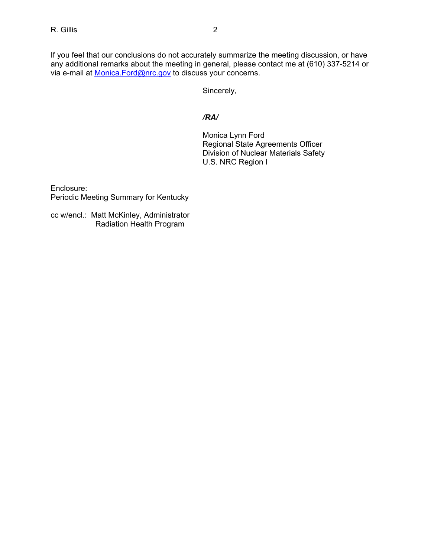If you feel that our conclusions do not accurately summarize the meeting discussion, or have any additional remarks about the meeting in general, please contact me at (610) 337-5214 or via e-mail at Monica.Ford@nrc.gov to discuss your concerns.

Sincerely,

## */RA/*

 Monica Lynn Ford Regional State Agreements Officer Division of Nuclear Materials Safety U.S. NRC Region I

Enclosure: Periodic Meeting Summary for Kentucky

cc w/encl.: Matt McKinley, Administrator Radiation Health Program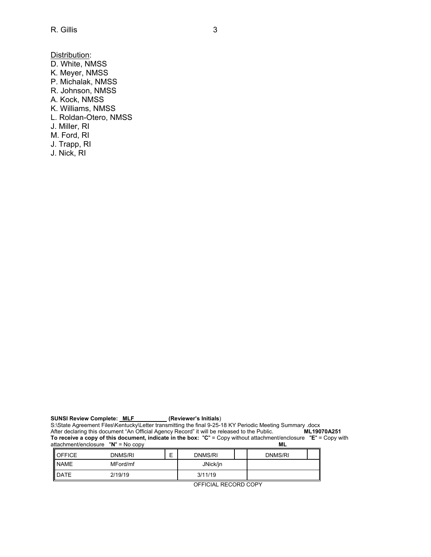Distribution: D. White, NMSS K. Meyer, NMSS P. Michalak, NMSS R. Johnson, NMSS A. Kock, NMSS K. Williams, NMSS L. Roldan-Otero, NMSS J. Miller, RI M. Ford, RI J. Trapp, RI J. Nick, RI

SUNSI Review Complete: **MLF** (Reviewer's Initials)

S:\State Agreement Files\Kentucky\Letter transmitting the final 9-25-18 KY Periodic Meeting Summary .docx<br>After declaring this document "An Official Agency Record" it will be released to the Public. **ML19070A251** After declaring this document "An Official Agency Record" it will be released to the Public. **ML19070A251 To receive a copy of this document, indicate in the box:** "**C**" = Copy without attachment/enclosure "**E**" = Copy with attachment/enclosure "**N**" = No copy **ML** 

| <b>I</b> OFFICE | DNMS/RI  | -<br>_ | DNMS/RI  | DNMS/RI |  |
|-----------------|----------|--------|----------|---------|--|
| <b>NAME</b>     | MFord/mf |        | JNick/jn |         |  |
| <b>I</b> DATE   | 2/19/19  |        | 3/11/19  |         |  |

OFFICIAL RECORD COPY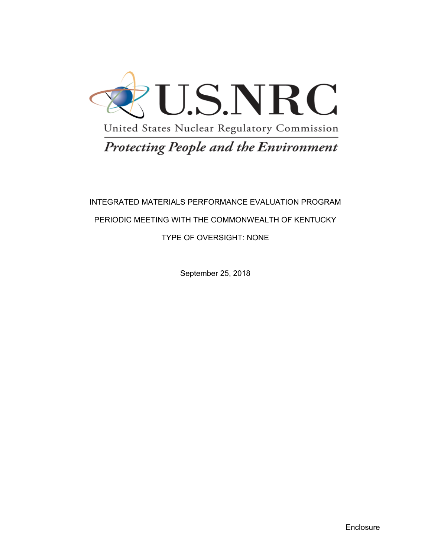

# Protecting People and the Environment

## INTEGRATED MATERIALS PERFORMANCE EVALUATION PROGRAM PERIODIC MEETING WITH THE COMMONWEALTH OF KENTUCKY TYPE OF OVERSIGHT: NONE

September 25, 2018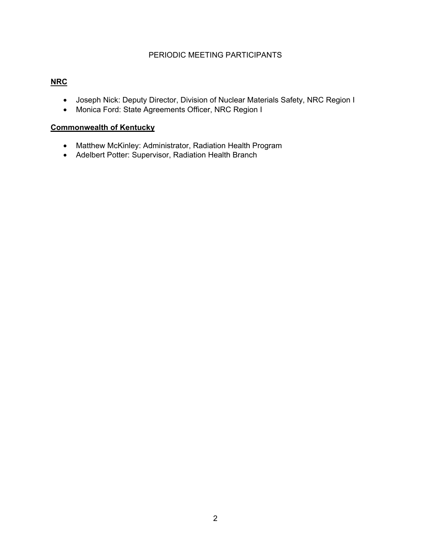## PERIODIC MEETING PARTICIPANTS

## **NRC**

- Joseph Nick: Deputy Director, Division of Nuclear Materials Safety, NRC Region I
- Monica Ford: State Agreements Officer, NRC Region I

## **Commonwealth of Kentucky**

- Matthew McKinley: Administrator, Radiation Health Program
- Adelbert Potter: Supervisor, Radiation Health Branch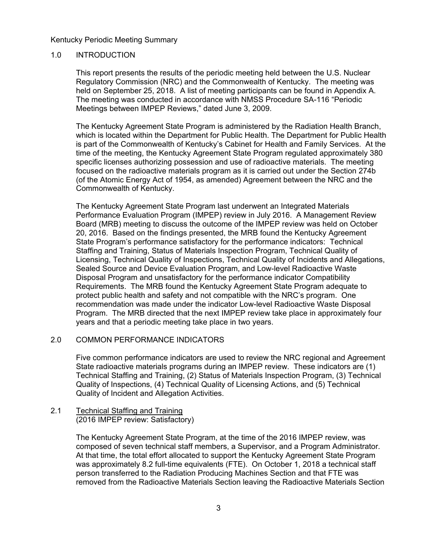#### 1.0 INTRODUCTION

This report presents the results of the periodic meeting held between the U.S. Nuclear Regulatory Commission (NRC) and the Commonwealth of Kentucky. The meeting was held on September 25, 2018. A list of meeting participants can be found in Appendix A. The meeting was conducted in accordance with NMSS Procedure SA-116 "Periodic Meetings between IMPEP Reviews," dated June 3, 2009.

The Kentucky Agreement State Program is administered by the Radiation Health Branch, which is located within the Department for Public Health. The Department for Public Health is part of the Commonwealth of Kentucky's Cabinet for Health and Family Services. At the time of the meeting, the Kentucky Agreement State Program regulated approximately 380 specific licenses authorizing possession and use of radioactive materials. The meeting focused on the radioactive materials program as it is carried out under the Section 274b (of the Atomic Energy Act of 1954, as amended) Agreement between the NRC and the Commonwealth of Kentucky.

The Kentucky Agreement State Program last underwent an Integrated Materials Performance Evaluation Program (IMPEP) review in July 2016. A Management Review Board (MRB) meeting to discuss the outcome of the IMPEP review was held on October 20, 2016. Based on the findings presented, the MRB found the Kentucky Agreement State Program's performance satisfactory for the performance indicators: Technical Staffing and Training, Status of Materials Inspection Program, Technical Quality of Licensing, Technical Quality of Inspections, Technical Quality of Incidents and Allegations, Sealed Source and Device Evaluation Program, and Low-level Radioactive Waste Disposal Program and unsatisfactory for the performance indicator Compatibility Requirements. The MRB found the Kentucky Agreement State Program adequate to protect public health and safety and not compatible with the NRC's program. One recommendation was made under the indicator Low-level Radioactive Waste Disposal Program. The MRB directed that the next IMPEP review take place in approximately four years and that a periodic meeting take place in two years.

#### 2.0 COMMON PERFORMANCE INDICATORS

Five common performance indicators are used to review the NRC regional and Agreement State radioactive materials programs during an IMPEP review. These indicators are (1) Technical Staffing and Training, (2) Status of Materials Inspection Program, (3) Technical Quality of Inspections, (4) Technical Quality of Licensing Actions, and (5) Technical Quality of Incident and Allegation Activities.

2.1 Technical Staffing and Training (2016 IMPEP review: Satisfactory)

> The Kentucky Agreement State Program, at the time of the 2016 IMPEP review, was composed of seven technical staff members, a Supervisor, and a Program Administrator. At that time, the total effort allocated to support the Kentucky Agreement State Program was approximately 8.2 full-time equivalents (FTE). On October 1, 2018 a technical staff person transferred to the Radiation Producing Machines Section and that FTE was removed from the Radioactive Materials Section leaving the Radioactive Materials Section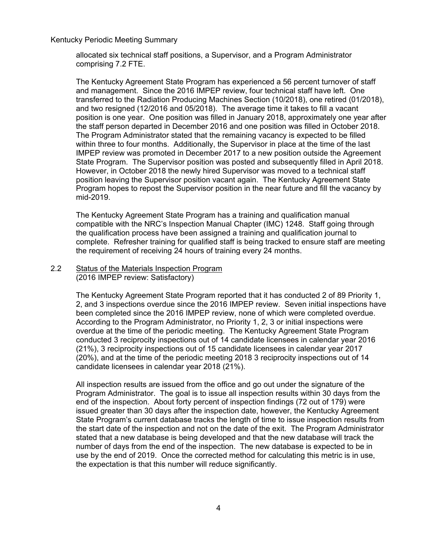allocated six technical staff positions, a Supervisor, and a Program Administrator comprising 7.2 FTE.

The Kentucky Agreement State Program has experienced a 56 percent turnover of staff and management. Since the 2016 IMPEP review, four technical staff have left. One transferred to the Radiation Producing Machines Section (10/2018), one retired (01/2018), and two resigned (12/2016 and 05/2018). The average time it takes to fill a vacant position is one year. One position was filled in January 2018, approximately one year after the staff person departed in December 2016 and one position was filled in October 2018. The Program Administrator stated that the remaining vacancy is expected to be filled within three to four months. Additionally, the Supervisor in place at the time of the last IMPEP review was promoted in December 2017 to a new position outside the Agreement State Program. The Supervisor position was posted and subsequently filled in April 2018. However, in October 2018 the newly hired Supervisor was moved to a technical staff position leaving the Supervisor position vacant again. The Kentucky Agreement State Program hopes to repost the Supervisor position in the near future and fill the vacancy by mid-2019.

The Kentucky Agreement State Program has a training and qualification manual compatible with the NRC's Inspection Manual Chapter (IMC) 1248. Staff going through the qualification process have been assigned a training and qualification journal to complete. Refresher training for qualified staff is being tracked to ensure staff are meeting the requirement of receiving 24 hours of training every 24 months.

2.2 Status of the Materials Inspection Program (2016 IMPEP review: Satisfactory)

> The Kentucky Agreement State Program reported that it has conducted 2 of 89 Priority 1, 2, and 3 inspections overdue since the 2016 IMPEP review. Seven initial inspections have been completed since the 2016 IMPEP review, none of which were completed overdue. According to the Program Administrator, no Priority 1, 2, 3 or initial inspections were overdue at the time of the periodic meeting. The Kentucky Agreement State Program conducted 3 reciprocity inspections out of 14 candidate licensees in calendar year 2016 (21%), 3 reciprocity inspections out of 15 candidate licensees in calendar year 2017 (20%), and at the time of the periodic meeting 2018 3 reciprocity inspections out of 14 candidate licensees in calendar year 2018 (21%).

> All inspection results are issued from the office and go out under the signature of the Program Administrator. The goal is to issue all inspection results within 30 days from the end of the inspection. About forty percent of inspection findings (72 out of 179) were issued greater than 30 days after the inspection date, however, the Kentucky Agreement State Program's current database tracks the length of time to issue inspection results from the start date of the inspection and not on the date of the exit. The Program Administrator stated that a new database is being developed and that the new database will track the number of days from the end of the inspection. The new database is expected to be in use by the end of 2019. Once the corrected method for calculating this metric is in use, the expectation is that this number will reduce significantly.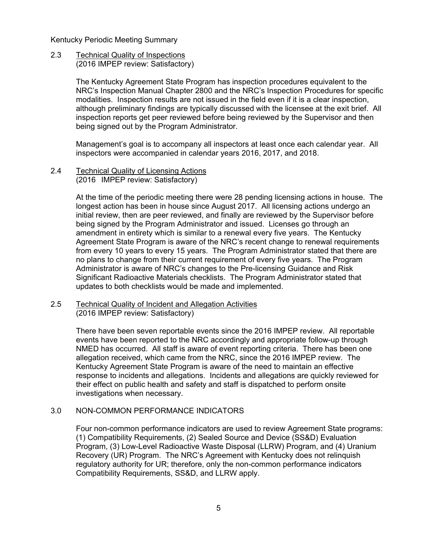2.3 Technical Quality of Inspections (2016 IMPEP review: Satisfactory)

> The Kentucky Agreement State Program has inspection procedures equivalent to the NRC's Inspection Manual Chapter 2800 and the NRC's Inspection Procedures for specific modalities. Inspection results are not issued in the field even if it is a clear inspection, although preliminary findings are typically discussed with the licensee at the exit brief. All inspection reports get peer reviewed before being reviewed by the Supervisor and then being signed out by the Program Administrator.

Management's goal is to accompany all inspectors at least once each calendar year. All inspectors were accompanied in calendar years 2016, 2017, and 2018.

2.4 Technical Quality of Licensing Actions (2016 IMPEP review: Satisfactory)

> At the time of the periodic meeting there were 28 pending licensing actions in house. The longest action has been in house since August 2017. All licensing actions undergo an initial review, then are peer reviewed, and finally are reviewed by the Supervisor before being signed by the Program Administrator and issued. Licenses go through an amendment in entirety which is similar to a renewal every five years. The Kentucky Agreement State Program is aware of the NRC's recent change to renewal requirements from every 10 years to every 15 years. The Program Administrator stated that there are no plans to change from their current requirement of every five years. The Program Administrator is aware of NRC's changes to the Pre-licensing Guidance and Risk Significant Radioactive Materials checklists. The Program Administrator stated that updates to both checklists would be made and implemented.

2.5 Technical Quality of Incident and Allegation Activities (2016 IMPEP review: Satisfactory)

> There have been seven reportable events since the 2016 IMPEP review. All reportable events have been reported to the NRC accordingly and appropriate follow-up through NMED has occurred. All staff is aware of event reporting criteria. There has been one allegation received, which came from the NRC, since the 2016 IMPEP review. The Kentucky Agreement State Program is aware of the need to maintain an effective response to incidents and allegations. Incidents and allegations are quickly reviewed for their effect on public health and safety and staff is dispatched to perform onsite investigations when necessary.

#### 3.0 NON-COMMON PERFORMANCE INDICATORS

Four non-common performance indicators are used to review Agreement State programs: (1) Compatibility Requirements, (2) Sealed Source and Device (SS&D) Evaluation Program, (3) Low-Level Radioactive Waste Disposal (LLRW) Program, and (4) Uranium Recovery (UR) Program. The NRC's Agreement with Kentucky does not relinquish regulatory authority for UR; therefore, only the non-common performance indicators Compatibility Requirements, SS&D, and LLRW apply.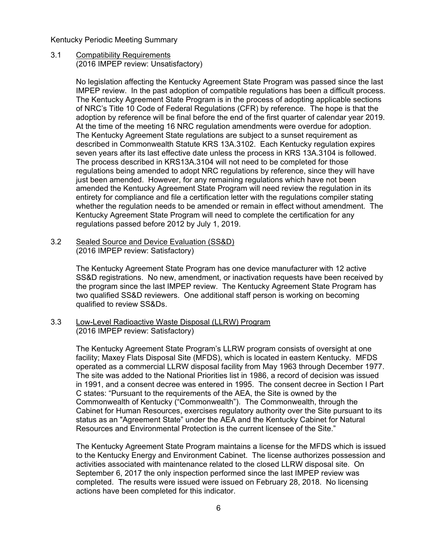#### 3.1 Compatibility Requirements (2016 IMPEP review: Unsatisfactory)

No legislation affecting the Kentucky Agreement State Program was passed since the last IMPEP review. In the past adoption of compatible regulations has been a difficult process. The Kentucky Agreement State Program is in the process of adopting applicable sections of NRC's Title 10 Code of Federal Regulations (CFR) by reference. The hope is that the adoption by reference will be final before the end of the first quarter of calendar year 2019. At the time of the meeting 16 NRC regulation amendments were overdue for adoption. The Kentucky Agreement State regulations are subject to a sunset requirement as described in Commonwealth Statute KRS 13A.3102. Each Kentucky regulation expires seven years after its last effective date unless the process in KRS 13A.3104 is followed. The process described in KRS13A.3104 will not need to be completed for those regulations being amended to adopt NRC regulations by reference, since they will have just been amended. However, for any remaining regulations which have not been amended the Kentucky Agreement State Program will need review the regulation in its entirety for compliance and file a certification letter with the regulations compiler stating whether the regulation needs to be amended or remain in effect without amendment. The Kentucky Agreement State Program will need to complete the certification for any regulations passed before 2012 by July 1, 2019.

3.2 Sealed Source and Device Evaluation (SS&D) (2016 IMPEP review: Satisfactory)

> The Kentucky Agreement State Program has one device manufacturer with 12 active SS&D registrations. No new, amendment, or inactivation requests have been received by the program since the last IMPEP review. The Kentucky Agreement State Program has two qualified SS&D reviewers. One additional staff person is working on becoming qualified to review SS&Ds.

3.3 Low-Level Radioactive Waste Disposal (LLRW) Program (2016 IMPEP review: Satisfactory)

> The Kentucky Agreement State Program's LLRW program consists of oversight at one facility; Maxey Flats Disposal Site (MFDS), which is located in eastern Kentucky. MFDS operated as a commercial LLRW disposal facility from May 1963 through December 1977. The site was added to the National Priorities list in 1986, a record of decision was issued in 1991, and a consent decree was entered in 1995. The consent decree in Section I Part C states: "Pursuant to the requirements of the AEA, the Site is owned by the Commonwealth of Kentucky ("Commonwealth"). The Commonwealth, through the Cabinet for Human Resources, exercises regulatory authority over the Site pursuant to its status as an "Agreement State" under the AEA and the Kentucky Cabinet for Natural Resources and Environmental Protection is the current licensee of the Site."

> The Kentucky Agreement State Program maintains a license for the MFDS which is issued to the Kentucky Energy and Environment Cabinet. The license authorizes possession and activities associated with maintenance related to the closed LLRW disposal site. On September 6, 2017 the only inspection performed since the last IMPEP review was completed. The results were issued were issued on February 28, 2018. No licensing actions have been completed for this indicator.